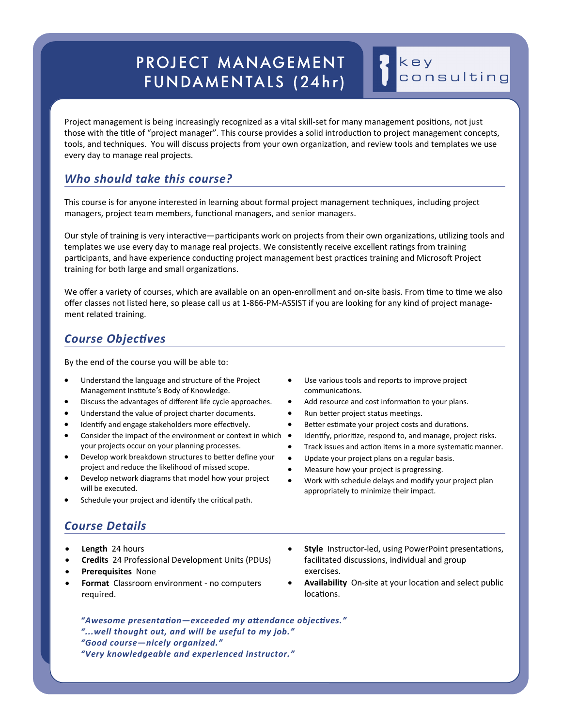# PROJECT MANAGEMENT FUNDAMENTALS (24hr)

Project management is being increasingly recognized as a vital skill-set for many management positions, not just those with the title of "project manager". This course provides a solid introduction to project management concepts, tools, and techniques. You will discuss projects from your own organization, and review tools and templates we use every day to manage real projects.

### *Who should take this course?*

This course is for anyone interested in learning about formal project management techniques, including project managers, project team members, functional managers, and senior managers.

Our style of training is very interactive—participants work on projects from their own organizations, utilizing tools and templates we use every day to manage real projects. We consistently receive excellent ratings from training participants, and have experience conducting project management best practices training and Microsoft Project training for both large and small organizations.

We offer a variety of courses, which are available on an open-enrollment and on-site basis. From time to time we also offer classes not listed here, so please call us at 1‐866‐PM‐ASSIST if you are looking for any kind of project manage‐ ment related training.

#### **Course Objectives**

By the end of the course you will be able to:

- Understand the language and structure of the Project Management Institute's Body of Knowledge.
- Discuss the advantages of different life cycle approaches.
- Understand the value of project charter documents.
- Identify and engage stakeholders more effectively.
- Consider the impact of the environment or context in which  $\bullet$ your projects occur on your planning processes.
- Develop work breakdown structures to better define your project and reduce the likelihood of missed scope.
- Develop network diagrams that model how your project will be executed.
- Schedule your project and identify the critical path.

## *Course Details*

- **Length** 24 hours
- **Credits** 24 Professional Development Units (PDUs)
- **Prerequisites** None
- **Format** Classroom environment ‐ no computers required.
- Use various tools and reports to improve project communications.
- Add resource and cost information to your plans.
- Run better project status meetings.
- Better estimate your project costs and durations.
- Identify, prioritize, respond to, and manage, project risks.
- Track issues and action items in a more systematic manner.

key

consulting

- Update your project plans on a regular basis.
- Measure how your project is progressing.
- Work with schedule delays and modify your project plan appropriately to minimize their impact.
- **Style** Instructor-led, using PowerPoint presentations, facilitated discussions, individual and group exercises.
- **Availability** On-site at your location and select public locations

"Awesome presentation-exceeded my attendance objectives." *"...well thought out, and will be useful to my job." "Good course—nicely organized." "Very knowledgeable and experienced instructor."*